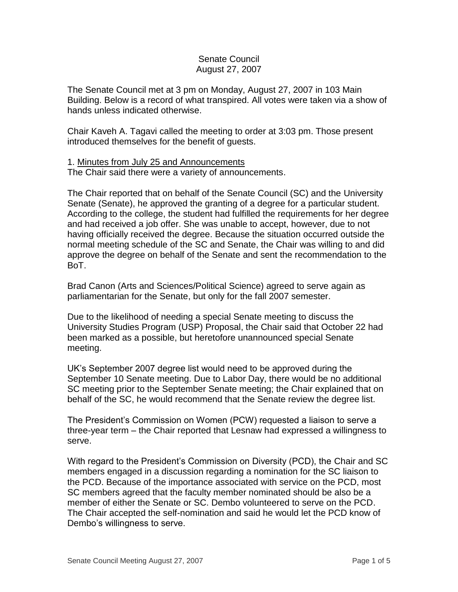## Senate Council August 27, 2007

The Senate Council met at 3 pm on Monday, August 27, 2007 in 103 Main Building. Below is a record of what transpired. All votes were taken via a show of hands unless indicated otherwise.

Chair Kaveh A. Tagavi called the meeting to order at 3:03 pm. Those present introduced themselves for the benefit of guests.

## 1. Minutes from July 25 and Announcements

The Chair said there were a variety of announcements.

The Chair reported that on behalf of the Senate Council (SC) and the University Senate (Senate), he approved the granting of a degree for a particular student. According to the college, the student had fulfilled the requirements for her degree and had received a job offer. She was unable to accept, however, due to not having officially received the degree. Because the situation occurred outside the normal meeting schedule of the SC and Senate, the Chair was willing to and did approve the degree on behalf of the Senate and sent the recommendation to the BoT.

Brad Canon (Arts and Sciences/Political Science) agreed to serve again as parliamentarian for the Senate, but only for the fall 2007 semester.

Due to the likelihood of needing a special Senate meeting to discuss the University Studies Program (USP) Proposal, the Chair said that October 22 had been marked as a possible, but heretofore unannounced special Senate meeting.

UK's September 2007 degree list would need to be approved during the September 10 Senate meeting. Due to Labor Day, there would be no additional SC meeting prior to the September Senate meeting; the Chair explained that on behalf of the SC, he would recommend that the Senate review the degree list.

The President's Commission on Women (PCW) requested a liaison to serve a three-year term – the Chair reported that Lesnaw had expressed a willingness to serve.

With regard to the President's Commission on Diversity (PCD), the Chair and SC members engaged in a discussion regarding a nomination for the SC liaison to the PCD. Because of the importance associated with service on the PCD, most SC members agreed that the faculty member nominated should be also be a member of either the Senate or SC. Dembo volunteered to serve on the PCD. The Chair accepted the self-nomination and said he would let the PCD know of Dembo's willingness to serve.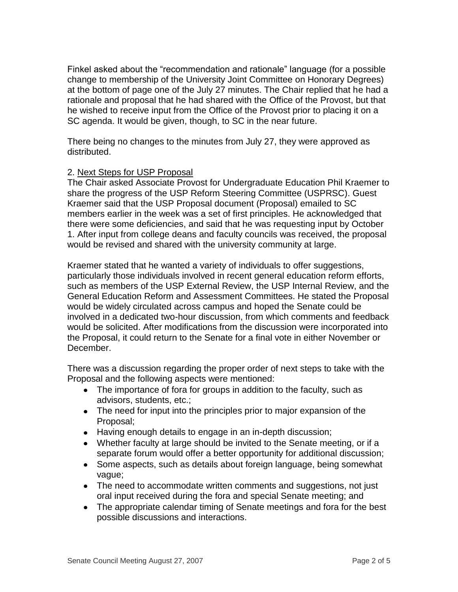Finkel asked about the "recommendation and rationale" language (for a possible change to membership of the University Joint Committee on Honorary Degrees) at the bottom of page one of the July 27 minutes. The Chair replied that he had a rationale and proposal that he had shared with the Office of the Provost, but that he wished to receive input from the Office of the Provost prior to placing it on a SC agenda. It would be given, though, to SC in the near future.

There being no changes to the minutes from July 27, they were approved as distributed.

## 2. Next Steps for USP Proposal

The Chair asked Associate Provost for Undergraduate Education Phil Kraemer to share the progress of the USP Reform Steering Committee (USPRSC). Guest Kraemer said that the USP Proposal document (Proposal) emailed to SC members earlier in the week was a set of first principles. He acknowledged that there were some deficiencies, and said that he was requesting input by October 1. After input from college deans and faculty councils was received, the proposal would be revised and shared with the university community at large.

Kraemer stated that he wanted a variety of individuals to offer suggestions, particularly those individuals involved in recent general education reform efforts, such as members of the USP External Review, the USP Internal Review, and the General Education Reform and Assessment Committees. He stated the Proposal would be widely circulated across campus and hoped the Senate could be involved in a dedicated two-hour discussion, from which comments and feedback would be solicited. After modifications from the discussion were incorporated into the Proposal, it could return to the Senate for a final vote in either November or December.

There was a discussion regarding the proper order of next steps to take with the Proposal and the following aspects were mentioned:

- The importance of fora for groups in addition to the faculty, such as advisors, students, etc.;
- The need for input into the principles prior to major expansion of the Proposal;
- Having enough details to engage in an in-depth discussion;
- Whether faculty at large should be invited to the Senate meeting, or if a separate forum would offer a better opportunity for additional discussion;
- Some aspects, such as details about foreign language, being somewhat vague;
- The need to accommodate written comments and suggestions, not just oral input received during the fora and special Senate meeting; and
- The appropriate calendar timing of Senate meetings and fora for the best  $\bullet$ possible discussions and interactions.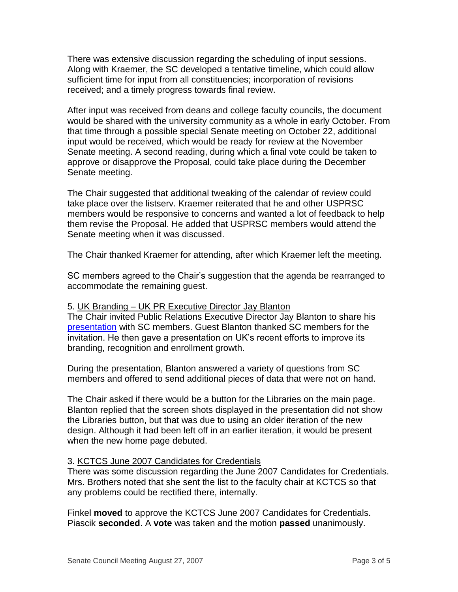There was extensive discussion regarding the scheduling of input sessions. Along with Kraemer, the SC developed a tentative timeline, which could allow sufficient time for input from all constituencies; incorporation of revisions received; and a timely progress towards final review.

After input was received from deans and college faculty councils, the document would be shared with the university community as a whole in early October. From that time through a possible special Senate meeting on October 22, additional input would be received, which would be ready for review at the November Senate meeting. A second reading, during which a final vote could be taken to approve or disapprove the Proposal, could take place during the December Senate meeting.

The Chair suggested that additional tweaking of the calendar of review could take place over the listserv. Kraemer reiterated that he and other USPRSC members would be responsive to concerns and wanted a lot of feedback to help them revise the Proposal. He added that USPRSC members would attend the Senate meeting when it was discussed.

The Chair thanked Kraemer for attending, after which Kraemer left the meeting.

SC members agreed to the Chair's suggestion that the agenda be rearranged to accommodate the remaining guest.

#### 5. UK Branding – UK PR Executive Director Jay Blanton

The Chair invited Public Relations Executive Director Jay Blanton to share his [presentation](http://www.uky.edu/USC/New/files/20070827/07-08-09%20Launching%20a%20UK%20Brand_TO%20SC.pdf) with SC members. Guest Blanton thanked SC members for the invitation. He then gave a presentation on UK's recent efforts to improve its branding, recognition and enrollment growth.

During the presentation, Blanton answered a variety of questions from SC members and offered to send additional pieces of data that were not on hand.

The Chair asked if there would be a button for the Libraries on the main page. Blanton replied that the screen shots displayed in the presentation did not show the Libraries button, but that was due to using an older iteration of the new design. Although it had been left off in an earlier iteration, it would be present when the new home page debuted.

#### 3. KCTCS June 2007 Candidates for Credentials

There was some discussion regarding the June 2007 Candidates for Credentials. Mrs. Brothers noted that she sent the list to the faculty chair at KCTCS so that any problems could be rectified there, internally.

Finkel **moved** to approve the KCTCS June 2007 Candidates for Credentials. Piascik **seconded**. A **vote** was taken and the motion **passed** unanimously.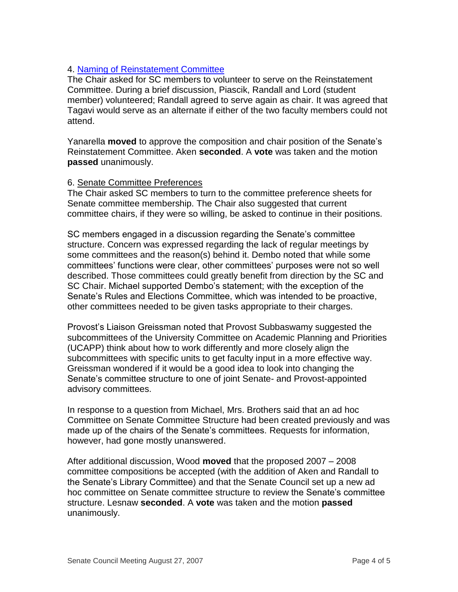# 4. [Naming of Reinstatement Committee](http://www.uky.edu/USC/New/files/20070827/ReinstatementCmte.pdf)

The Chair asked for SC members to volunteer to serve on the Reinstatement Committee. During a brief discussion, Piascik, Randall and Lord (student member) volunteered; Randall agreed to serve again as chair. It was agreed that Tagavi would serve as an alternate if either of the two faculty members could not attend.

Yanarella **moved** to approve the composition and chair position of the Senate's Reinstatement Committee. Aken **seconded**. A **vote** was taken and the motion **passed** unanimously.

## 6. Senate Committee Preferences

The Chair asked SC members to turn to the committee preference sheets for Senate committee membership. The Chair also suggested that current committee chairs, if they were so willing, be asked to continue in their positions.

SC members engaged in a discussion regarding the Senate's committee structure. Concern was expressed regarding the lack of regular meetings by some committees and the reason(s) behind it. Dembo noted that while some committees' functions were clear, other committees' purposes were not so well described. Those committees could greatly benefit from direction by the SC and SC Chair. Michael supported Dembo's statement; with the exception of the Senate's Rules and Elections Committee, which was intended to be proactive, other committees needed to be given tasks appropriate to their charges.

Provost's Liaison Greissman noted that Provost Subbaswamy suggested the subcommittees of the University Committee on Academic Planning and Priorities (UCAPP) think about how to work differently and more closely align the subcommittees with specific units to get faculty input in a more effective way. Greissman wondered if it would be a good idea to look into changing the Senate's committee structure to one of joint Senate- and Provost-appointed advisory committees.

In response to a question from Michael, Mrs. Brothers said that an ad hoc Committee on Senate Committee Structure had been created previously and was made up of the chairs of the Senate's committees. Requests for information, however, had gone mostly unanswered.

After additional discussion, Wood **moved** that the proposed 2007 – 2008 committee compositions be accepted (with the addition of Aken and Randall to the Senate's Library Committee) and that the Senate Council set up a new ad hoc committee on Senate committee structure to review the Senate's committee structure. Lesnaw **seconded**. A **vote** was taken and the motion **passed** unanimously.